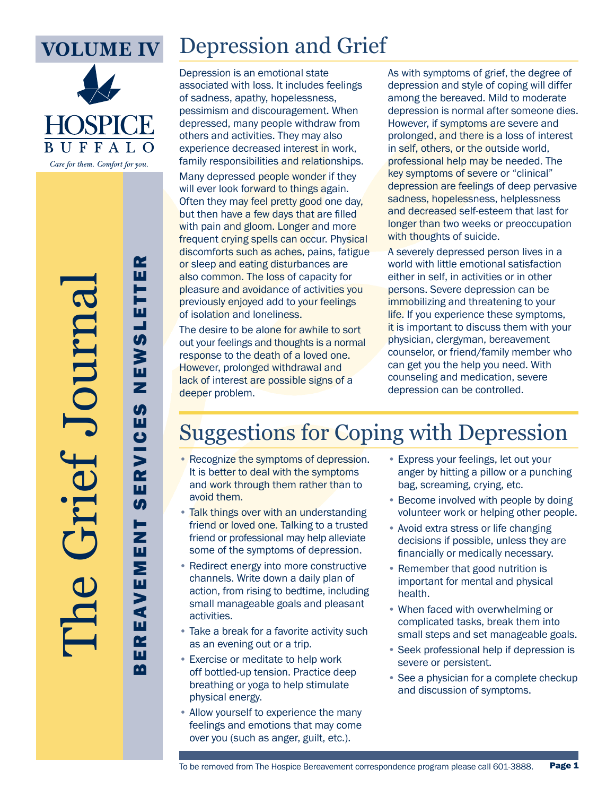

The Grief Journal

## Depression and Grief

Depression is an emotional state associated with loss. It includes feelings of sadness, apathy, hopelessness, pessimism and discouragement. When depressed, many people withdraw from others and activities. They may also experience decreased interest in work, family responsibilities and relationships.

Many depressed people wonder if they will ever look forward to things again. Often they may feel pretty good one day, but then have a few days that are filled with pain and gloom. Longer and more frequent crying spells can occur. Physical discomforts such as aches, pains, fatigue or sleep and eating disturbances are also common. The loss of capacity for pleasure and avoidance of activities you previously enjoyed add to your feelings of isolation and loneliness.

The desire to be alone for awhile to sort out your feelings and thoughts is a normal response to the death of a loved one. However, prolonged withdrawal and lack of interest are possible signs of a deeper problem.

As with symptoms of grief, the degree of depression and style of coping will differ among the bereaved. Mild to moderate depression is normal after someone dies. However, if symptoms are severe and prolonged, and there is a loss of interest in self, others, or the outside world, professional help may be needed. The key symptoms of severe or "clinical" depression are feelings of deep pervasive sadness, hopelessness, helplessness and decreased self-esteem that last for longer than two weeks or preoccupation with thoughts of suicide.

A severely depressed person lives in a world with little emotional satisfaction either in self, in activities or in other persons. Severe depression can be immobilizing and threatening to your life. If you experience these symptoms, it is important to discuss them with your physician, clergyman, bereavement counselor, or friend/family member who can get you the help you need. With counseling and medication, severe depression can be controlled.

## Suggestions for Coping with Depression

- Recognize the symptoms of depression. It is better to deal with the symptoms and work through them rather than to avoid them.
- Talk things over with an understanding friend or loved one. Talking to a trusted friend or professional may help alleviate some of the symptoms of depression.
- Redirect energy into more constructive channels. Write down a daily plan of action, from rising to bedtime, including small manageable goals and pleasant activities.
- Take a break for a favorite activity such as an evening out or a trip.
- Exercise or meditate to help work off bottled-up tension. Practice deep breathing or yoga to help stimulate physical energy.
- Allow yourself to experience the many feelings and emotions that may come over you (such as anger, guilt, etc.).
- Express your feelings, let out your anger by hitting a pillow or a punching bag, screaming, crying, etc.
- Become involved with people by doing volunteer work or helping other people.
- Avoid extra stress or life changing decisions if possible, unless they are financially or medically necessary.
- Remember that good nutrition is important for mental and physical health.
- When faced with overwhelming or complicated tasks, break them into small steps and set manageable goals.
- Seek professional help if depression is severe or persistent.
- See a physician for a complete checkup and discussion of symptoms.